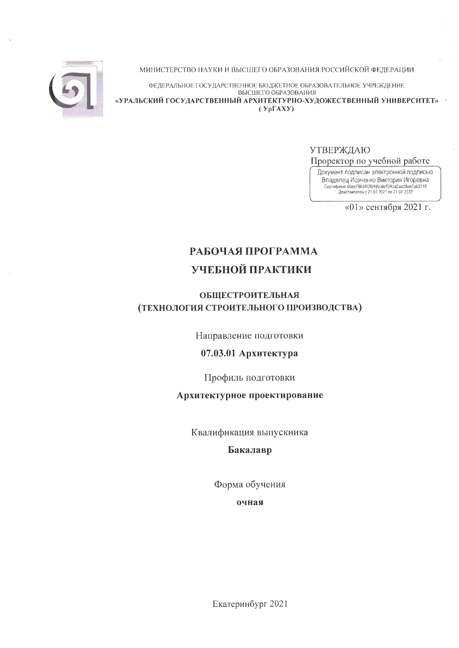

МИНИСТЕРСТВО НАУКИ И ВЫСШЕГО ОБРАЗОВАНИЯ РОССИЙСКОЙ ФЕДЕРАЦИИ

ФЕДЕРАЛЬНОЕ ГОСУДАРСТВЕННОЕ БЮДЖЕТНОЕ ОБРАЗОВАТЕЛЬНОЕ УЧРЕЖДЕНИЕ ВЫСШЕГО ОБРАЗОВАНИЯ «УРАЛЬСКИЙ ГОСУДАРСТВЕННЫЙ АРХИТЕКТУРНО-ХУДОЖЕСТВЕННЫЙ УНИВЕРСИТЕТ»  $(Yp\Gamma A X Y)$ 

**УТВЕРЖДАЮ** 

Проректор по учебной работе

Документ подписан электронной подписью **ЕЛЕНИЕ ИСЛЕНИЕ В САРИЛИЕ И ГЛАВИТЬ ПОЛНЕНИЕ В ПРИ СЕРГИФИЕТ ОБИКТОРИЯ И ГОРЕВНА**<br>Сертификат Фее798a412f54d9cdeff24ba2aacf5ee7ab3710<br>Действителен с 21 04 2021 по 21 07 2022

«01» сентября 2021 г.

# РАБОЧАЯ ПРОГРАММА УЧЕБНОЙ ПРАКТИКИ

# **ОБЩЕСТРОИТЕЛЬНАЯ** (ТЕХНОЛОГИЯ СТРОИТЕЛЬНОГО ПРОИЗВОДСТВА)

Направление подготовки

# 07.03.01 Архитектура

Профиль подготовки

# Архитектурное проектирование

Квалификация выпускника

Бакалавр

Форма обучения

очная

Екатеринбург 2021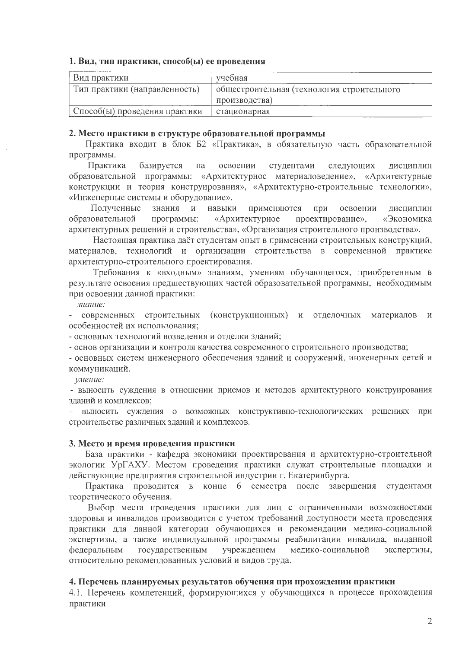#### 1. Вид, тип практики, способ(ы) ее проведения

| Вид практики                  | учебная                                    |
|-------------------------------|--------------------------------------------|
| Тип практики (направленность) | общестроительная (технология строительного |
|                               | производства)                              |
| Способ(ы) проведения практики | стационарная                               |

#### 2. Место практики в структуре образовательной программы

Практика входит в блок Б2 «Практика», в обязательную часть образовательной программы.

Практика базируется студентами на освоении следующих дисциплин образовательной программы: «Архитектурное материаловедение», «Архитектурные конструкции и теория конструирования», «Архитектурно-строительные технологии», «Инженерные системы и оборудование».

Полученные знания  $\mathbf{M}$ навыки применяются при освоении дисциплин образовательной программы: «Архитектурное проектирование», «Экономика архитектурных решений и строительства», «Организация строительного производства».

Настоящая практика даёт студентам опыт в применении строительных конструкций, материалов, технологий и организации строительства в современной практике архитектурно-строительного проектирования.

Требования к «входным» знаниям, умениям обучающегося, приобретенным в результате освоения предшествующих частей образовательной программы, необходимым при освоении данной практики:

знание:

современных строительных (конструкционных) и отделочных материалов  $\boldsymbol{\mathrm{M}}$ особенностей их использования;

- основных технологий возведения и отделки зданий;

- основ организации и контроля качества современного строительного производства;

- основных систем инженерного обеспечения зданий и сооружений, инженерных сетей и коммуникаций.

умение:

- выносить суждения в отношении приемов и методов архитектурного конструирования зданий и комплексов:

- выносить суждения о возможных конструктивно-технологических решениях при строительстве различных зданий и комплексов.

#### 3. Место и время проведения практики

База практики - кафедра экономики проектирования и архитектурно-строительной экологии УрГАХУ. Местом проведения практики служат строительные площадки и действующие предприятия строительной индустрии г. Екатеринбурга.

Практика проводится в конце 6 семестра после завершения студентами теоретического обучения.

Выбор места проведения практики для лиц с ограниченными возможностями здоровья и инвалидов производится с учетом требований доступности места проведения практики для данной категории обучающихся и рекомендации медико-социальной экспертизы, а также индивидуальной программы реабилитации инвалида, выданной федеральным государственным учреждением медико-социальной экспертизы, относительно рекомендованных условий и видов труда.

### 4. Перечень планируемых результатов обучения при прохождении практики

4.1. Перечень компетенций, формирующихся у обучающихся в процессе прохождения практики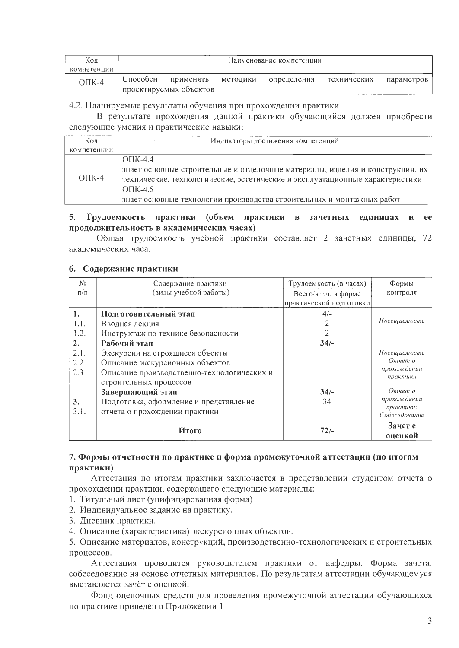| Кол                  | Наименование компетенции |                                     |          |             |             |            |
|----------------------|--------------------------|-------------------------------------|----------|-------------|-------------|------------|
| компетенции          |                          |                                     |          |             |             |            |
| $\overline{O}$ TIK-4 | Способен                 | применять<br>проектируемых объектов | методики | определения | технических | параметров |

#### 4.2. Планируемые результаты обучения при прохождении практики

В результате прохождения данной практики обучающийся должен приобрести следующие умения и практические навыки:

| Код           | Индикаторы достижения компетенций                                                                                                                                                |
|---------------|----------------------------------------------------------------------------------------------------------------------------------------------------------------------------------|
| компетенции   |                                                                                                                                                                                  |
| $\Omega$ TK-4 | $\bigcap K-4.4$<br>знает основные строительные и отделочные материалы, изделия и конструкции, их<br>технические, технологические, эстетические и эксплуатационные характеристики |
|               | OHK-4.5<br>знает основные технологии производства строительных и монтажных работ                                                                                                 |

## 5. Трудоемкость практики (объем практики в зачетных единицах и ее продолжительность в академических часах)

Общая трудоемкость учебной практики составляет 2 зачетных единицы, 72 акалемических часа.

#### 6. Содержание практики

| N <sub>2</sub> | Содержание практики                        | Трудоемкость (в часах)  | Формы                      |
|----------------|--------------------------------------------|-------------------------|----------------------------|
| $\pi/\pi$      | (виды учебной работы)                      | Всего/в т.ч. в форме    | контроля                   |
|                |                                            | практической подготовки |                            |
| 1.             | Подготовительный этап                      | $4/-$                   |                            |
| 1.1.           | Вводная лекция                             |                         | Посещаемость               |
| 1.2.           | Инструктаж по технике безопасности         |                         |                            |
| 2.             | Рабочий этап                               | $34/-$                  |                            |
| 2.1.           | Экскурсии на строящиеся объекты            |                         | Посещаемость               |
| 2.2.           | Описание экскурсионных объектов            |                         | Отчет о                    |
| 2.3            | Описание производственно-технологических и |                         | прохождении<br>практики    |
|                | строительных процессов                     |                         |                            |
|                | Завершающий этап                           | $34/-$                  | Отчет о                    |
| 3.             | Подготовка, оформление и представление     | 34                      | прохождении                |
| 3.1.           | отчета о прохождении практики              |                         | практики;<br>Собеседование |
|                | Итого                                      | $72/-$                  | Зачет с                    |
|                |                                            |                         | оценкой                    |

## 7. Формы отчетности по практике и форма промежуточной аттестации (по итогам практики)

Аттестация по итогам практики заключается в представлении студентом отчета о прохождении практики, содержащего следующие материалы:

- 1. Титульный лист (унифицированная форма)
- 2. Индивидуальное задание на практику.
- 3. Дневник практики.
- 4. Описание (характеристика) экскурсионных объектов.

5. Описание материалов, конструкций, производственно-технологических и строительных процессов.

Аттестация проводится руководителем практики от кафедры. Форма зачета: собеседование на основе отчетных материалов. По результатам аттестации обучающемуся выставляется зачёт с оценкой.

Фонд оценочных средств для проведения промежуточной аттестации обучающихся по практике приведен в Приложении 1